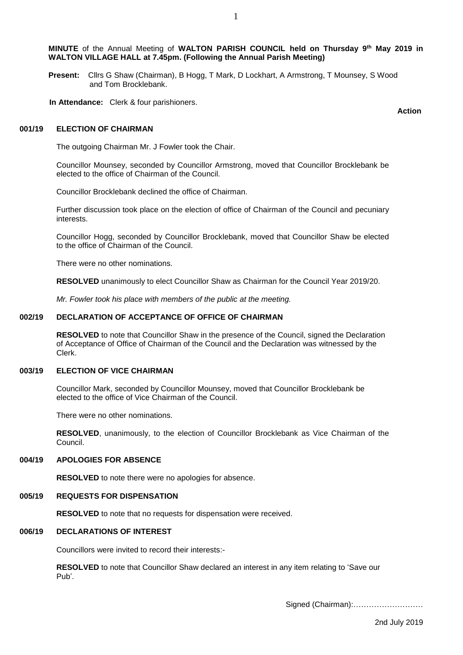1

**Present:** Cllrs G Shaw (Chairman), B Hogg, T Mark, D Lockhart, A Armstrong, T Mounsey, S Wood and Tom Brocklebank.

**In Attendance:** Clerk & four parishioners.

**Action**

### **001/19 ELECTION OF CHAIRMAN**

The outgoing Chairman Mr. J Fowler took the Chair.

Councillor Mounsey, seconded by Councillor Armstrong, moved that Councillor Brocklebank be elected to the office of Chairman of the Council.

Councillor Brocklebank declined the office of Chairman.

Further discussion took place on the election of office of Chairman of the Council and pecuniary interests.

Councillor Hogg, seconded by Councillor Brocklebank, moved that Councillor Shaw be elected to the office of Chairman of the Council.

There were no other nominations.

**RESOLVED** unanimously to elect Councillor Shaw as Chairman for the Council Year 2019/20.

*Mr. Fowler took his place with members of the public at the meeting.*

### **002/19 DECLARATION OF ACCEPTANCE OF OFFICE OF CHAIRMAN**

**RESOLVED** to note that Councillor Shaw in the presence of the Council, signed the Declaration of Acceptance of Office of Chairman of the Council and the Declaration was witnessed by the Clerk.

### **003/19 ELECTION OF VICE CHAIRMAN**

Councillor Mark, seconded by Councillor Mounsey, moved that Councillor Brocklebank be elected to the office of Vice Chairman of the Council.

There were no other nominations.

**RESOLVED**, unanimously, to the election of Councillor Brocklebank as Vice Chairman of the Council.

### **004/19 APOLOGIES FOR ABSENCE**

**RESOLVED** to note there were no apologies for absence.

#### **005/19 REQUESTS FOR DISPENSATION**

**RESOLVED** to note that no requests for dispensation were received.

# **006/19 DECLARATIONS OF INTEREST**

Councillors were invited to record their interests:-

**RESOLVED** to note that Councillor Shaw declared an interest in any item relating to 'Save our Pub'.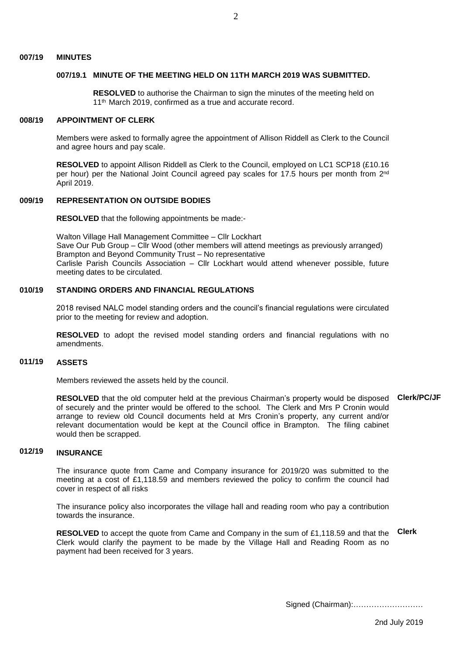#### **007/19 MINUTES**

## **007/19.1 MINUTE OF THE MEETING HELD ON 11TH MARCH 2019 WAS SUBMITTED.**

**RESOLVED** to authorise the Chairman to sign the minutes of the meeting held on 11<sup>th</sup> March 2019, confirmed as a true and accurate record.

#### **008/19 APPOINTMENT OF CLERK**

Members were asked to formally agree the appointment of Allison Riddell as Clerk to the Council and agree hours and pay scale.

RESOLVED to appoint Allison Riddell as Clerk to the Council, employed on LC1 SCP18 (£10.16 per hour) per the National Joint Council agreed pay scales for 17.5 hours per month from 2<sup>nd</sup> April 2019.

### **009/19 REPRESENTATION ON OUTSIDE BODIES**

**RESOLVED** that the following appointments be made:-

Walton Village Hall Management Committee – Cllr Lockhart Save Our Pub Group – Cllr Wood (other members will attend meetings as previously arranged) Brampton and Beyond Community Trust – No representative Carlisle Parish Councils Association – Cllr Lockhart would attend whenever possible, future meeting dates to be circulated.

#### **010/19 STANDING ORDERS AND FINANCIAL REGULATIONS**

2018 revised NALC model standing orders and the council's financial regulations were circulated prior to the meeting for review and adoption.

**RESOLVED** to adopt the revised model standing orders and financial regulations with no amendments.

### **011/19 ASSETS**

Members reviewed the assets held by the council.

**RESOLVED** that the old computer held at the previous Chairman's property would be disposed **Clerk/PC/JF** of securely and the printer would be offered to the school. The Clerk and Mrs P Cronin would arrange to review old Council documents held at Mrs Cronin's property, any current and/or relevant documentation would be kept at the Council office in Brampton. The filing cabinet would then be scrapped.

## **012/19 INSURANCE**

The insurance quote from Came and Company insurance for 2019/20 was submitted to the meeting at a cost of £1,118.59 and members reviewed the policy to confirm the council had cover in respect of all risks

The insurance policy also incorporates the village hall and reading room who pay a contribution towards the insurance.

**RESOLVED** to accept the quote from Came and Company in the sum of £1,118.59 and that the **Clerk**Clerk would clarify the payment to be made by the Village Hall and Reading Room as no payment had been received for 3 years.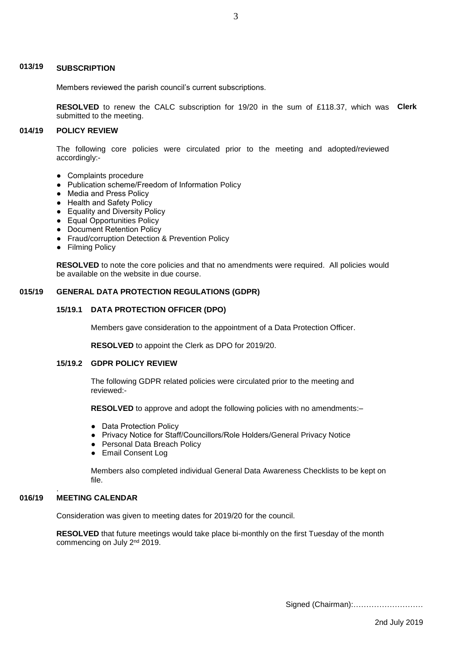# **013/19 SUBSCRIPTION**

Members reviewed the parish council's current subscriptions.

**RESOLVED** to renew the CALC subscription for 19/20 in the sum of £118.37, which was **Clerk** submitted to the meeting.

## **014/19 POLICY REVIEW**

The following core policies were circulated prior to the meeting and adopted/reviewed accordingly:-

- Complaints procedure
- Publication scheme/Freedom of Information Policy
- Media and Press Policy
- Health and Safety Policy
- Equality and Diversity Policy
- Equal Opportunities Policy
- Document Retention Policy
- Fraud/corruption Detection & Prevention Policy
- Filming Policy

**RESOLVED** to note the core policies and that no amendments were required. All policies would be available on the website in due course.

# **015/19 GENERAL DATA PROTECTION REGULATIONS (GDPR)**

## **15/19.1 DATA PROTECTION OFFICER (DPO)**

Members gave consideration to the appointment of a Data Protection Officer.

**RESOLVED** to appoint the Clerk as DPO for 2019/20.

# **15/19.2 GDPR POLICY REVIEW**

The following GDPR related policies were circulated prior to the meeting and reviewed:-

**RESOLVED** to approve and adopt the following policies with no amendments:-

- Data Protection Policy
- Privacy Notice for Staff/Councillors/Role Holders/General Privacy Notice
- Personal Data Breach Policy
- Email Consent Log

 Members also completed individual General Data Awareness Checklists to be kept on file.

## **016/19 MEETING CALENDAR**

.

Consideration was given to meeting dates for 2019/20 for the council.

**RESOLVED** that future meetings would take place bi-monthly on the first Tuesday of the month commencing on July 2<sup>nd</sup> 2019.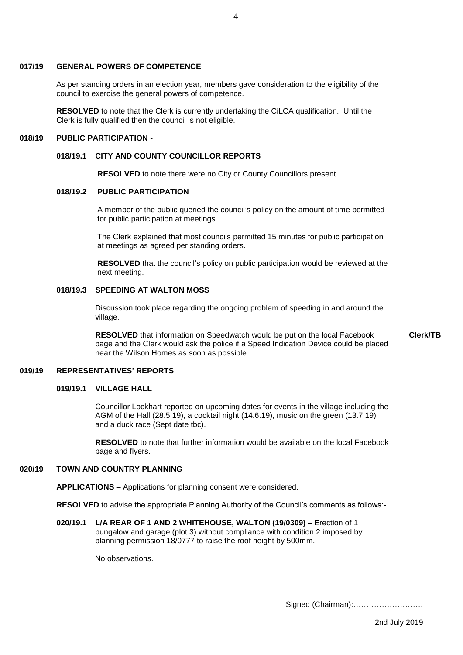## **017/19 GENERAL POWERS OF COMPETENCE**

As per standing orders in an election year, members gave consideration to the eligibility of the council to exercise the general powers of competence.

**RESOLVED** to note that the Clerk is currently undertaking the CiLCA qualification. Until the Clerk is fully qualified then the council is not eligible.

#### **018/19 PUBLIC PARTICIPATION -**

## **018/19.1 CITY AND COUNTY COUNCILLOR REPORTS**

 **RESOLVED** to note there were no City or County Councillors present.

# **018/19.2 PUBLIC PARTICIPATION**

A member of the public queried the council's policy on the amount of time permitted for public participation at meetings.

 The Clerk explained that most councils permitted 15 minutes for public participation at meetings as agreed per standing orders.

 **RESOLVED** that the council's policy on public participation would be reviewed at the next meeting.

## **018/19.3 SPEEDING AT WALTON MOSS**

Discussion took place regarding the ongoing problem of speeding in and around the village.

 **RESOLVED** that information on Speedwatch would be put on the local Facebook page and the Clerk would ask the police if a Speed Indication Device could be placed near the Wilson Homes as soon as possible.

### **019/19 REPRESENTATIVES' REPORTS**

# **019/19.1 VILLAGE HALL**

 Councillor Lockhart reported on upcoming dates for events in the village including the AGM of the Hall (28.5.19), a cocktail night (14.6.19), music on the green (13.7.19) and a duck race (Sept date tbc).

 **RESOLVED** to note that further information would be available on the local Facebook page and flyers.

## **020/19 TOWN AND COUNTRY PLANNING**

**APPLICATIONS –** Applications for planning consent were considered.

**RESOLVED** to advise the appropriate Planning Authority of the Council's comments as follows:-

**020/19.1 L/A REAR OF 1 AND 2 WHITEHOUSE, WALTON (19/0309)** – Erection of 1 bungalow and garage (plot 3) without compliance with condition 2 imposed by planning permission 18/0777 to raise the roof height by 500mm.

No observations.

Signed (Chairman):………………………

**Clerk/TB**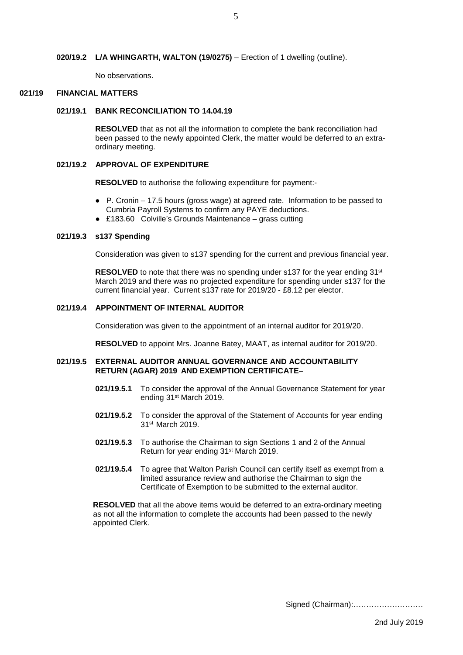No observations.

## **021/19 FINANCIAL MATTERS**

## **021/19.1 BANK RECONCILIATION TO 14.04.19**

 **RESOLVED** that as not all the information to complete the bank reconciliation had been passed to the newly appointed Clerk, the matter would be deferred to an extra ordinary meeting.

# **021/19.2 APPROVAL OF EXPENDITURE**

**RESOLVED** to authorise the following expenditure for payment:-

- P. Cronin 17.5 hours (gross wage) at agreed rate. Information to be passed to Cumbria Payroll Systems to confirm any PAYE deductions.
- £183.60 Colville's Grounds Maintenance grass cutting

## **021/19.3 s137 Spending**

Consideration was given to s137 spending for the current and previous financial year.

**RESOLVED** to note that there was no spending under s137 for the year ending 31<sup>st</sup> March 2019 and there was no projected expenditure for spending under s137 for the current financial year. Current s137 rate for 2019/20 - £8.12 per elector.

# **021/19.4 APPOINTMENT OF INTERNAL AUDITOR**

Consideration was given to the appointment of an internal auditor for 2019/20.

**RESOLVED** to appoint Mrs. Joanne Batey, MAAT, as internal auditor for 2019/20.

# **021/19.5 EXTERNAL AUDITOR ANNUAL GOVERNANCE AND ACCOUNTABILITY RETURN (AGAR) 2019 AND EXEMPTION CERTIFICATE**–

- **021/19.5.1** To consider the approval of the Annual Governance Statement for year ending 31st March 2019.
- **021/19.5.2** To consider the approval of the Statement of Accounts for year ending 31st March 2019.
- **021/19.5.3** To authorise the Chairman to sign Sections 1 and 2 of the Annual Return for year ending 31st March 2019.
- **021/19.5.4** To agree that Walton Parish Council can certify itself as exempt from a limited assurance review and authorise the Chairman to sign the Certificate of Exemption to be submitted to the external auditor.

 **RESOLVED** that all the above items would be deferred to an extra-ordinary meeting as not all the information to complete the accounts had been passed to the newly appointed Clerk.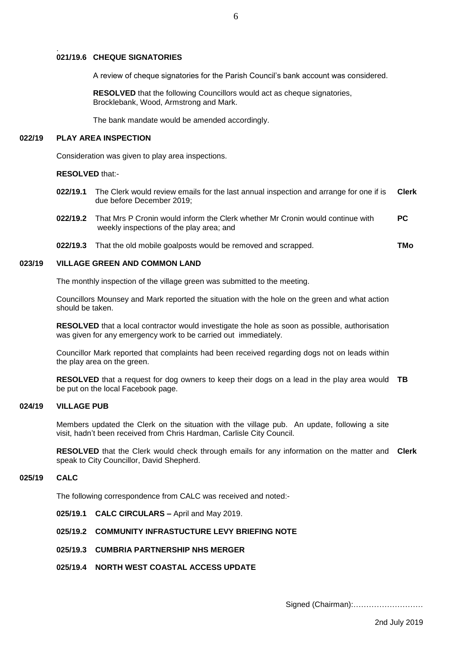## . **021/19.6 CHEQUE SIGNATORIES**

A review of cheque signatories for the Parish Council's bank account was considered.

6

 **RESOLVED** that the following Councillors would act as cheque signatories, Brocklebank, Wood, Armstrong and Mark.

The bank mandate would be amended accordingly.

#### **022/19 PLAY AREA INSPECTION**

Consideration was given to play area inspections.

**RESOLVED** that:-

- **022/19.1** The Clerk would review emails for the last annual inspection and arrange for one if is due before December 2019; **Clerk**
- **022/19.2** That Mrs P Cronin would inform the Clerk whether Mr Cronin would continue with weekly inspections of the play area; and **PC**
- **022/19.3** That the old mobile goalposts would be removed and scrapped. **TMo**

### **023/19 VILLAGE GREEN AND COMMON LAND**

The monthly inspection of the village green was submitted to the meeting.

Councillors Mounsey and Mark reported the situation with the hole on the green and what action should be taken.

**RESOLVED** that a local contractor would investigate the hole as soon as possible, authorisation was given for any emergency work to be carried out immediately.

Councillor Mark reported that complaints had been received regarding dogs not on leads within the play area on the green.

**RESOLVED** that a request for dog owners to keep their dogs on a lead in the play area would **TB** be put on the local Facebook page.

### **024/19 VILLAGE PUB**

Members updated the Clerk on the situation with the village pub. An update, following a site visit, hadn't been received from Chris Hardman, Carlisle City Council.

**RESOLVED** that the Clerk would check through emails for any information on the matter and **Clerk**speak to City Councillor, David Shepherd.

#### **025/19 CALC**

The following correspondence from CALC was received and noted:-

- **025/19.1 CALC CIRCULARS –** April and May 2019.
- **025/19.2 COMMUNITY INFRASTUCTURE LEVY BRIEFING NOTE**
- **025/19.3 CUMBRIA PARTNERSHIP NHS MERGER**
- **025/19.4 NORTH WEST COASTAL ACCESS UPDATE**